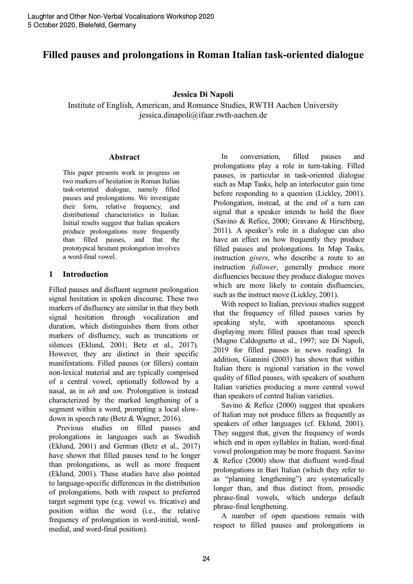# **Filled pauses and prolongations in Roman Italian task-oriented dialogue**

#### **Jessica Di Napoli**

Institute of English, American, and Romance Studies, RWTH Aachen University jessica.dinapoli@ifaar.rwth-aachen.de

#### **Abstract**

This paper presents work in progress on two markers of hesitation in Roman Italian task-oriented dialogue, namely filled pauses and prolongations. We investigate their form, relative frequency, and distributional characteristics in Italian. Initial results suggest that Italian speakers produce prolongations more frequently than filled pauses, and that the prototypical hesitant prolongation involves a word-final vowel.

### **1 Introduction**

Filled pauses and disfluent segment prolongation signal hesitation in spoken discourse. These two markers of disfluency are similar in that they both signal hesitation through vocalization and duration, which distinguishes them from other markers of disfluency, such as truncations or silences (Eklund, 2001; Betz et al., 2017). However, they are distinct in their specific manifestations. Filled pauses (or fillers) contain non-lexical material and are typically comprised of a central vowel, optionally followed by a nasal, as in *uh* and *um*. Prolongation is instead characterized by the marked lengthening of a segment within a word, prompting a local slowdown in speech rate (Betz & Wagner, 2016).

Previous studies on filled pauses and prolongations in languages such as Swedish (Eklund, 2001) and German (Betz et al., 2017) have shown that filled pauses tend to be longer than prolongations, as well as more frequent (Eklund, 2001). These studies have also pointed to language-specific differences in the distribution of prolongations, both with respect to preferred target segment type (e.g. vowel vs. fricative) and position within the word (i.e., the relative frequency of prolongation in word-initial, wordmedial, and word-final position).

In conversation, filled pauses and prolongations play a role in turn-taking. Filled pauses, in particular in task-oriented dialogue such as Map Tasks, help an interlocutor gain time before responding to a question (Lickley, 2001). Prolongation, instead, at the end of a turn can signal that a speaker intends to hold the floor (Savino & Refice, 2000; Gravano & Hirschberg, 2011). A speaker's role in a dialogue can also have an effect on how frequently they produce filled pauses and prolongations. In Map Tasks, instruction *givers*, who describe a route to an instruction *follower*, generally produce more disfluencies because they produce dialogue moves which are more likely to contain disfluencies, such as the instruct move (Lickley, 2001).

With respect to Italian, previous studies suggest that the frequency of filled pauses varies by speaking style, with spontaneous speech displaying more filled pauses than read speech (Magno Caldognetto et al., 1997; see Di Napoli, 2019 for filled pauses in news reading). In addition, Giannini (2003) has shown that within Italian there is regional variation in the vowel quality of filled pauses, with speakers of southern Italian varieties producing a more central vowel than speakers of central Italian varieties.

Savino & Refice (2000) suggest that speakers of Italian may not produce fillers as frequently as speakers of other languages (cf. Eklund, 2001). They suggest that, given the frequency of words which end in open syllables in Italian, word-final vowel prolongation may be more frequent. Savino & Refice (2000) show that disfluent word-final prolongations in Bari Italian (which they refer to as "planning lengthening") are systematically longer than, and thus distinct from, prosodic phrase-final vowels, which undergo default phrase-final lengthening.

A number of open questions remain with respect to filled pauses and prolongations in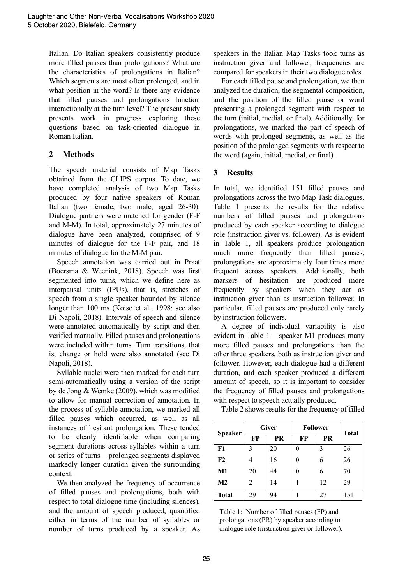Italian. Do Italian speakers consistently produce more filled pauses than prolongations? What are the characteristics of prolongations in Italian? Which segments are most often prolonged, and in what position in the word? Is there any evidence that filled pauses and prolongations function interactionally at the turn level? The present study presents work in progress exploring these questions based on task-oriented dialogue in Roman Italian.

# **2 Methods**

The speech material consists of Map Tasks obtained from the CLIPS corpus. To date, we have completed analysis of two Map Tasks produced by four native speakers of Roman Italian (two female, two male, aged 26-30). Dialogue partners were matched for gender (F-F and M-M). In total, approximately 27 minutes of dialogue have been analyzed, comprised of 9 minutes of dialogue for the F-F pair, and 18 minutes of dialogue for the M-M pair.

Speech annotation was carried out in Praat (Boersma & Weenink, 2018). Speech was first segmented into turns, which we define here as interpausal units (IPUs), that is, stretches of speech from a single speaker bounded by silence longer than 100 ms (Koiso et al., 1998; see also Di Napoli, 2018). Intervals of speech and silence were annotated automatically by script and then verified manually. Filled pauses and prolongations were included within turns. Turn transitions, that is, change or hold were also annotated (see Di Napoli, 2018).

Syllable nuclei were then marked for each turn semi-automatically using a version of the script by de Jong & Wemke (2009), which was modified to allow for manual correction of annotation. In the process of syllable annotation, we marked all filled pauses which occurred, as well as all instances of hesitant prolongation. These tended to be clearly identifiable when comparing segment durations across syllables within a turn or series of turns – prolonged segments displayed markedly longer duration given the surrounding context.

We then analyzed the frequency of occurrence of filled pauses and prolongations, both with respect to total dialogue time (including silences), and the amount of speech produced, quantified either in terms of the number of syllables or number of turns produced by a speaker. As speakers in the Italian Map Tasks took turns as instruction giver and follower, frequencies are compared for speakers in their two dialogue roles.

For each filled pause and prolongation, we then analyzed the duration, the segmental composition, and the position of the filled pause or word presenting a prolonged segment with respect to the turn (initial, medial, or final). Additionally, for prolongations, we marked the part of speech of words with prolonged segments, as well as the position of the prolonged segments with respect to the word (again, initial, medial, or final).

# **3 Results**

In total, we identified 151 filled pauses and prolongations across the two Map Task dialogues. Table 1 presents the results for the relative numbers of filled pauses and prolongations produced by each speaker according to dialogue role (instruction giver vs. follower). As is evident in Table 1, all speakers produce prolongation much more frequently than filled pauses; prolongations are approximately four times more frequent across speakers. Additionally, both markers of hesitation are produced more frequently by speakers when they act as instruction giver than as instruction follower. In particular, filled pauses are produced only rarely by instruction followers.

A degree of individual variability is also evident in Table 1 – speaker M1 produces many more filled pauses and prolongations than the other three speakers, both as instruction giver and follower. However, each dialogue had a different duration, and each speaker produced a different amount of speech, so it is important to consider the frequency of filled pauses and prolongations with respect to speech actually produced.

Table 2 shows results for the frequency of filled

| <b>Speaker</b> | <b>Giver</b> |    | <b>Follower</b> |    |              |
|----------------|--------------|----|-----------------|----|--------------|
|                | <b>FP</b>    | PR | <b>FP</b>       | PR | <b>Total</b> |
| F1             | 3            | 20 |                 | 3  | 26           |
| F2             | 4            | 16 |                 | 6  | 26           |
| M1             | 20           | 44 |                 | 6  | 70           |
| M <sub>2</sub> | 2            | 14 |                 | 12 | 29           |
| <b>Total</b>   | 29           | 94 |                 | 27 | 151          |

Table 1: Number of filled pauses (FP) and prolongations (PR) by speaker according to dialogue role (instruction giver or follower).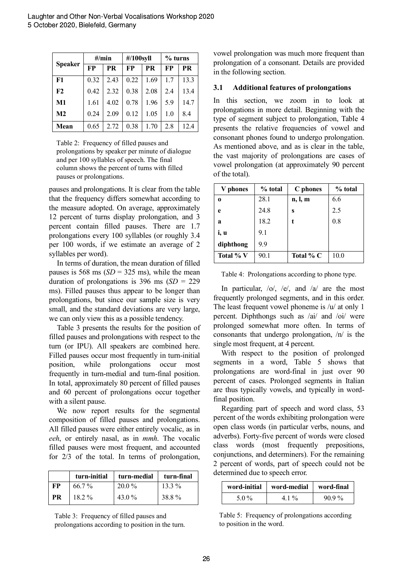| Speaker       | $\#/$ min |      | #/100syll |           | % turns |      |
|---------------|-----------|------|-----------|-----------|---------|------|
|               | FP        | PR   | FP        | <b>PR</b> | FP      | PR   |
| F1            | 0.32      | 2.43 | 0.22      | 1.69      | 17      | 13.3 |
| F2            | 0.42      | 2.32 | 0.38      | 2.08      | 2.4     | 13.4 |
| M1            | 1.61      | 4.02 | 0.78      | 1.96      | 5.9     | 14.7 |
| $\mathbf{M2}$ | 0.24      | 2.09 | 0.12      | 1.05      | 1.0     | 8.4  |
| Mean          | 0.65      | 2.72 | 0.38      | 1.70      | 2.8     | 12.4 |

Table 2: Frequency of filled pauses and prolongations by speaker per minute of dialogue and per 100 syllables of speech. The final column shows the percent of turns with filled pauses or prolongations.

pauses and prolongations. It is clear from the table that the frequency differs somewhat according to the measure adopted. On average, approximately 12 percent of turns display prolongation, and 3 percent contain filled pauses. There are 1.7 prolongations every 100 syllables (or roughly 3.4 per 100 words, if we estimate an average of 2 syllables per word).

In terms of duration, the mean duration of filled pauses is  $568 \text{ ms } (SD = 325 \text{ ms})$ , while the mean duration of prolongations is  $396 \text{ ms } (SD = 229)$ ms). Filled pauses thus appear to be longer than prolongations, but since our sample size is very small, and the standard deviations are very large, we can only view this as a possible tendency.

Table 3 presents the results for the position of filled pauses and prolongations with respect to the turn (or IPU). All speakers are combined here. Filled pauses occur most frequently in turn-initial position, while prolongations occur most frequently in turn-medial and turn-final position. In total, approximately 80 percent of filled pauses and 60 percent of prolongations occur together with a silent pause.

We now report results for the segmental composition of filled pauses and prolongations. All filled pauses were either entirely vocalic, as in *eeh*, or entirely nasal, as in *mmh*. The vocalic filled pauses were most frequent, and accounted for 2/3 of the total. In terms of prolongation,

|    | turn-initial | turn-medial | turn-final |
|----|--------------|-------------|------------|
| FP | 66.7 %       | $20.0\%$    | $13.3\%$   |
| PR | $18.2\%$     | 43.0 %      | 38.8%      |

Table 3: Frequency of filled pauses and prolongations according to position in the turn. vowel prolongation was much more frequent than prolongation of a consonant. Details are provided in the following section.

#### **3.1 Additional features of prolongations**

In this section, we zoom in to look at prolongations in more detail. Beginning with the type of segment subject to prolongation, Table 4 presents the relative frequencies of vowel and consonant phones found to undergo prolongation. As mentioned above, and as is clear in the table, the vast majority of prolongations are cases of vowel prolongation (at approximately 90 percent of the total).

| V phones  | % total | C phones  | % total |
|-----------|---------|-----------|---------|
| $\bf{0}$  | 28.1    | n, l, m   | 6.6     |
| e         | 24.8    | S         | 2.5     |
| a         | 18.2    |           | 0.8     |
| i, u      | 9.1     |           |         |
| diphthong | 99      |           |         |
| Total % V | 90.1    | Total % C | 10.0    |

Table 4: Prolongations according to phone type.

In particular,  $\frac{1}{0}$ ,  $\frac{1}{e}$ , and  $\frac{1}{a}$  are the most frequently prolonged segments, and in this order. The least frequent vowel phoneme is /u/ at only 1 percent. Diphthongs such as /ai/ and /oi/ were prolonged somewhat more often. In terms of consonants that undergo prolongation, /n/ is the single most frequent, at 4 percent.

With respect to the position of prolonged segments in a word, Table 5 shows that prolongations are word-final in just over 90 percent of cases. Prolonged segments in Italian are thus typically vowels, and typically in wordfinal position.

Regarding part of speech and word class, 53 percent of the words exhibiting prolongation were open class words (in particular verbs, nouns, and adverbs). Forty-five percent of words were closed class words (most frequently prepositions, conjunctions, and determiners). For the remaining 2 percent of words, part of speech could not be determined due to speech error.

| word-initial | word-medial   word-final |         |  |
|--------------|--------------------------|---------|--|
| 5.0 $\%$     | 41%                      | $909\%$ |  |

Table 5: Frequency of prolongations according to position in the word.